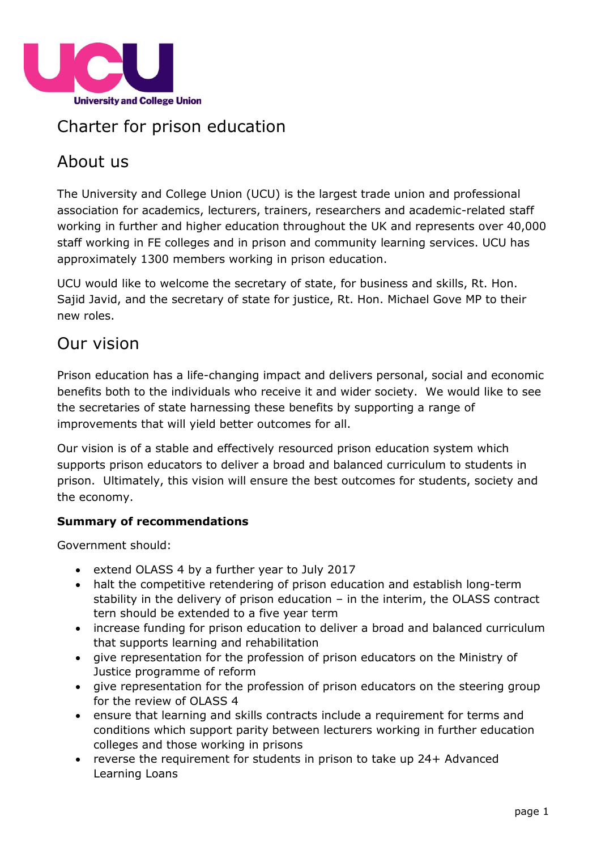

# Charter for prison education

# About us

The University and College Union (UCU) is the largest trade union and professional association for academics, lecturers, trainers, researchers and academic-related staff working in further and higher education throughout the UK and represents over 40,000 staff working in FE colleges and in prison and community learning services. UCU has approximately 1300 members working in prison education.

UCU would like to welcome the secretary of state, for business and skills, Rt. Hon. Sajid Javid, and the secretary of state for justice, Rt. Hon. Michael Gove MP to their new roles.

# Our vision

Prison education has a life-changing impact and delivers personal, social and economic benefits both to the individuals who receive it and wider society. We would like to see the secretaries of state harnessing these benefits by supporting a range of improvements that will yield better outcomes for all.

Our vision is of a stable and effectively resourced prison education system which supports prison educators to deliver a broad and balanced curriculum to students in prison. Ultimately, this vision will ensure the best outcomes for students, society and the economy.

#### **Summary of recommendations**

Government should:

- extend OLASS 4 by a further year to July 2017
- halt the competitive retendering of prison education and establish long-term stability in the delivery of prison education – in the interim, the OLASS contract tern should be extended to a five year term
- increase funding for prison education to deliver a broad and balanced curriculum that supports learning and rehabilitation
- give representation for the profession of prison educators on the Ministry of Justice programme of reform
- give representation for the profession of prison educators on the steering group for the review of OLASS 4
- ensure that learning and skills contracts include a requirement for terms and conditions which support parity between lecturers working in further education colleges and those working in prisons
- reverse the requirement for students in prison to take up 24+ Advanced Learning Loans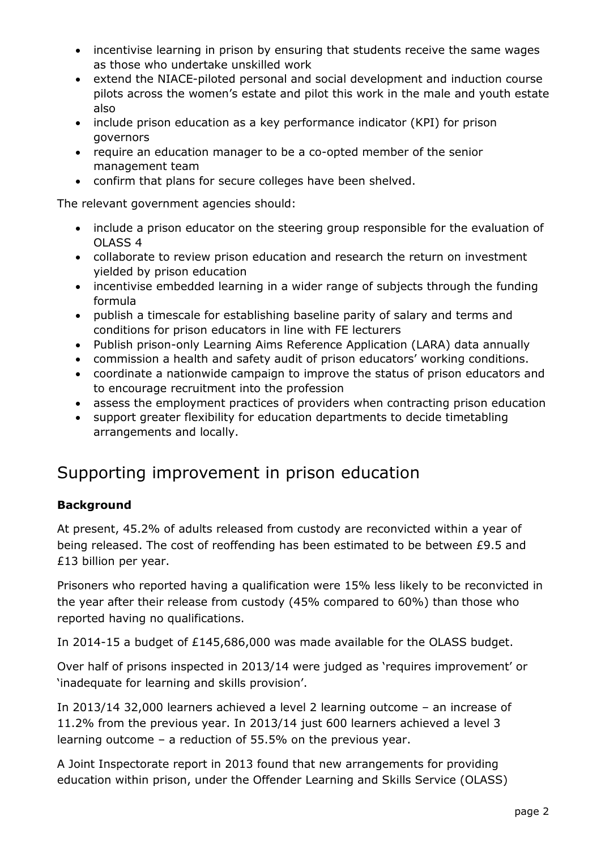- incentivise learning in prison by ensuring that students receive the same wages as those who undertake unskilled work
- extend the NIACE-piloted personal and social development and induction course pilots across the women's estate and pilot this work in the male and youth estate also
- include prison education as a key performance indicator (KPI) for prison governors
- require an education manager to be a co-opted member of the senior management team
- confirm that plans for secure colleges have been shelved.

The relevant government agencies should:

- include a prison educator on the steering group responsible for the evaluation of OLASS 4
- collaborate to review prison education and research the return on investment yielded by prison education
- incentivise embedded learning in a wider range of subjects through the funding formula
- publish a timescale for establishing baseline parity of salary and terms and conditions for prison educators in line with FE lecturers
- Publish prison-only Learning Aims Reference Application (LARA) data annually
- commission a health and safety audit of prison educators' working conditions.
- coordinate a nationwide campaign to improve the status of prison educators and to encourage recruitment into the profession
- assess the employment practices of providers when contracting prison education
- support greater flexibility for education departments to decide timetabling arrangements and locally.

# Supporting improvement in prison education

#### **Background**

At present, 45.2% of adults released from custody are reconvicted within a year of being released. The cost of reoffending has been estimated to be between £9.5 and £13 billion per year.

Prisoners who reported having a qualification were 15% less likely to be reconvicted in the year after their release from custody (45% compared to 60%) than those who reported having no qualifications.

In 2014-15 a budget of £145,686,000 was made available for the OLASS budget.

Over half of prisons inspected in 2013/14 were judged as 'requires improvement' or 'inadequate for learning and skills provision'.

In 2013/14 32,000 learners achieved a level 2 learning outcome – an increase of 11.2% from the previous year. In 2013/14 just 600 learners achieved a level 3 learning outcome – a reduction of 55.5% on the previous year.

A Joint Inspectorate report in 2013 found that new arrangements for providing education within prison, under the Offender Learning and Skills Service (OLASS)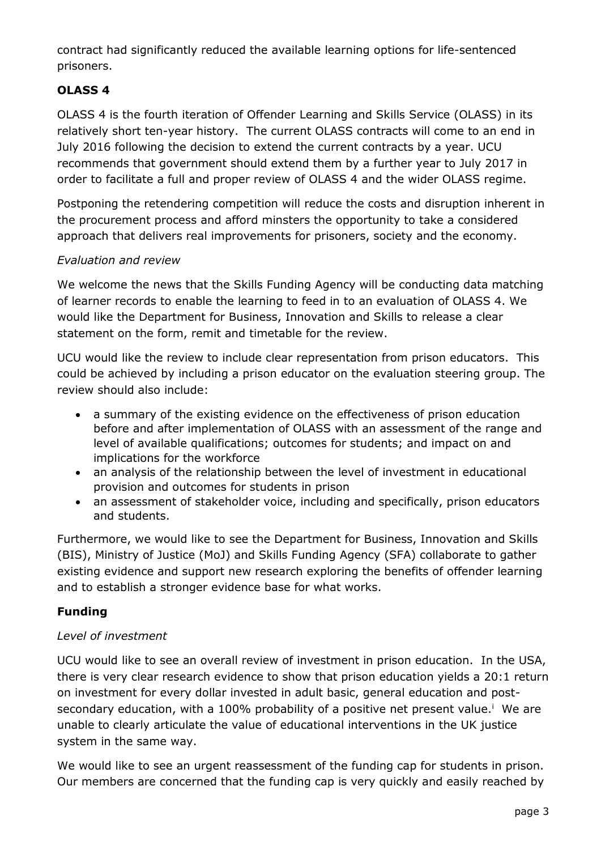contract had significantly reduced the available learning options for life-sentenced prisoners.

## **OLASS 4**

OLASS 4 is the fourth iteration of Offender Learning and Skills Service (OLASS) in its relatively short ten-year history. The current OLASS contracts will come to an end in July 2016 following the decision to extend the current contracts by a year. UCU recommends that government should extend them by a further year to July 2017 in order to facilitate a full and proper review of OLASS 4 and the wider OLASS regime.

Postponing the retendering competition will reduce the costs and disruption inherent in the procurement process and afford minsters the opportunity to take a considered approach that delivers real improvements for prisoners, society and the economy.

#### *Evaluation and review*

We welcome the news that the Skills Funding Agency will be conducting data matching of learner records to enable the learning to feed in to an evaluation of OLASS 4. We would like the Department for Business, Innovation and Skills to release a clear statement on the form, remit and timetable for the review.

UCU would like the review to include clear representation from prison educators. This could be achieved by including a prison educator on the evaluation steering group. The review should also include:

- a summary of the existing evidence on the effectiveness of prison education before and after implementation of OLASS with an assessment of the range and level of available qualifications; outcomes for students; and impact on and implications for the workforce
- an analysis of the relationship between the level of investment in educational provision and outcomes for students in prison
- an assessment of stakeholder voice, including and specifically, prison educators and students.

Furthermore, we would like to see the Department for Business, Innovation and Skills (BIS), Ministry of Justice (MoJ) and Skills Funding Agency (SFA) collaborate to gather existing evidence and support new research exploring the benefits of offender learning and to establish a stronger evidence base for what works.

### **Funding**

#### *Level of investment*

UCU would like to see an overall review of investment in prison education. In the USA, there is very clear research evidence to show that prison education yields a 20:1 return on investment for every dollar invested in adult basic, general education and postsecondary education, with a 100% probability of a positive net present value.<sup>i</sup> We are unable to clearly articulate the value of educational interventions in the UK justice system in the same way.

We would like to see an urgent reassessment of the funding cap for students in prison. Our members are concerned that the funding cap is very quickly and easily reached by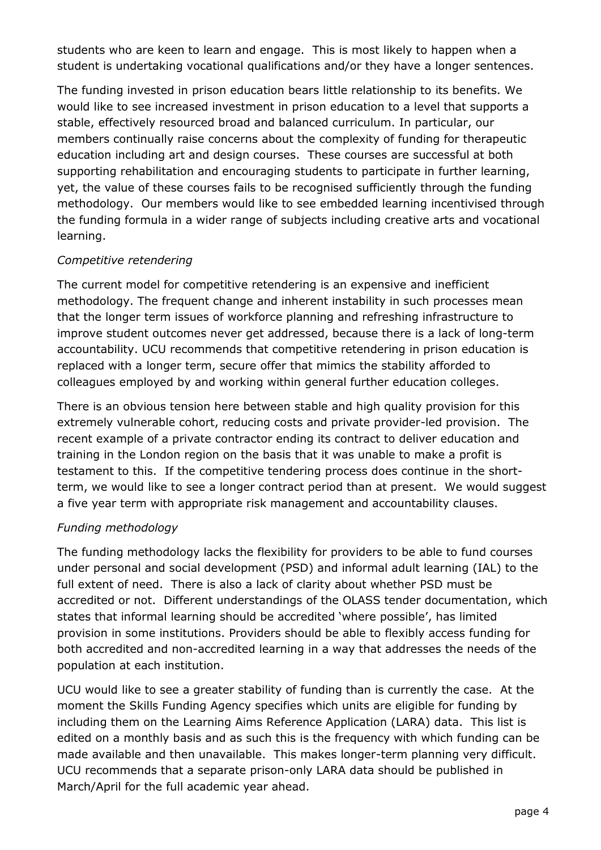students who are keen to learn and engage. This is most likely to happen when a student is undertaking vocational qualifications and/or they have a longer sentences.

The funding invested in prison education bears little relationship to its benefits. We would like to see increased investment in prison education to a level that supports a stable, effectively resourced broad and balanced curriculum. In particular, our members continually raise concerns about the complexity of funding for therapeutic education including art and design courses. These courses are successful at both supporting rehabilitation and encouraging students to participate in further learning, yet, the value of these courses fails to be recognised sufficiently through the funding methodology. Our members would like to see embedded learning incentivised through the funding formula in a wider range of subjects including creative arts and vocational learning.

#### *Competitive retendering*

The current model for competitive retendering is an expensive and inefficient methodology. The frequent change and inherent instability in such processes mean that the longer term issues of workforce planning and refreshing infrastructure to improve student outcomes never get addressed, because there is a lack of long-term accountability. UCU recommends that competitive retendering in prison education is replaced with a longer term, secure offer that mimics the stability afforded to colleagues employed by and working within general further education colleges.

There is an obvious tension here between stable and high quality provision for this extremely vulnerable cohort, reducing costs and private provider-led provision. The recent example of a private contractor ending its contract to deliver education and training in the London region on the basis that it was unable to make a profit is testament to this. If the competitive tendering process does continue in the shortterm, we would like to see a longer contract period than at present. We would suggest a five year term with appropriate risk management and accountability clauses.

#### *Funding methodology*

The funding methodology lacks the flexibility for providers to be able to fund courses under personal and social development (PSD) and informal adult learning (IAL) to the full extent of need. There is also a lack of clarity about whether PSD must be accredited or not. Different understandings of the OLASS tender documentation, which states that informal learning should be accredited 'where possible', has limited provision in some institutions. Providers should be able to flexibly access funding for both accredited and non-accredited learning in a way that addresses the needs of the population at each institution.

UCU would like to see a greater stability of funding than is currently the case. At the moment the Skills Funding Agency specifies which units are eligible for funding by including them on the Learning Aims Reference Application (LARA) data. This list is edited on a monthly basis and as such this is the frequency with which funding can be made available and then unavailable. This makes longer-term planning very difficult. UCU recommends that a separate prison-only LARA data should be published in March/April for the full academic year ahead.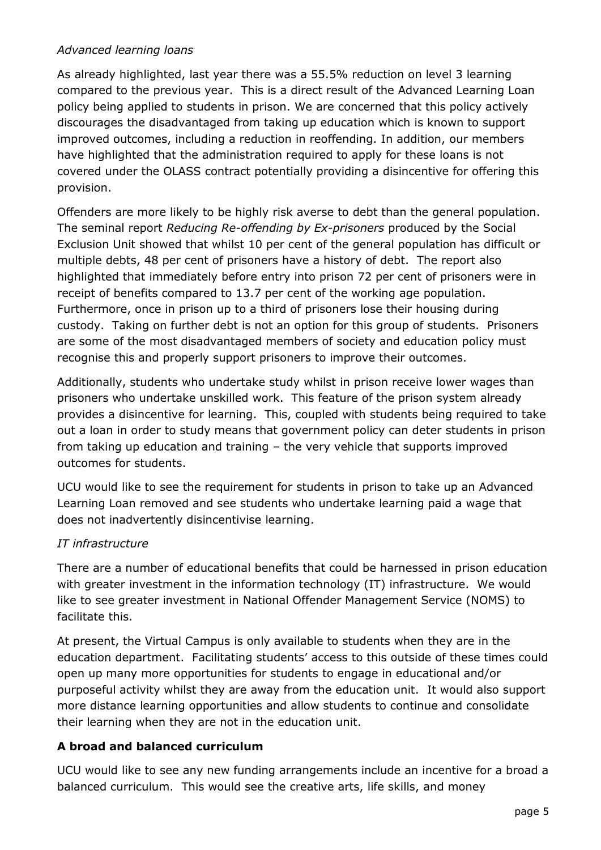#### *Advanced learning loans*

As already highlighted, last year there was a 55.5% reduction on level 3 learning compared to the previous year. This is a direct result of the Advanced Learning Loan policy being applied to students in prison. We are concerned that this policy actively discourages the disadvantaged from taking up education which is known to support improved outcomes, including a reduction in reoffending. In addition, our members have highlighted that the administration required to apply for these loans is not covered under the OLASS contract potentially providing a disincentive for offering this provision.

Offenders are more likely to be highly risk averse to debt than the general population. The seminal report *Reducing Re-offending by Ex-prisoners* produced by the Social Exclusion Unit showed that whilst 10 per cent of the general population has difficult or multiple debts, 48 per cent of prisoners have a history of debt. The report also highlighted that immediately before entry into prison 72 per cent of prisoners were in receipt of benefits compared to 13.7 per cent of the working age population. Furthermore, once in prison up to a third of prisoners lose their housing during custody. Taking on further debt is not an option for this group of students. Prisoners are some of the most disadvantaged members of society and education policy must recognise this and properly support prisoners to improve their outcomes.

Additionally, students who undertake study whilst in prison receive lower wages than prisoners who undertake unskilled work. This feature of the prison system already provides a disincentive for learning. This, coupled with students being required to take out a loan in order to study means that government policy can deter students in prison from taking up education and training – the very vehicle that supports improved outcomes for students.

UCU would like to see the requirement for students in prison to take up an Advanced Learning Loan removed and see students who undertake learning paid a wage that does not inadvertently disincentivise learning.

#### *IT infrastructure*

There are a number of educational benefits that could be harnessed in prison education with greater investment in the information technology (IT) infrastructure. We would like to see greater investment in National Offender Management Service (NOMS) to facilitate this.

At present, the Virtual Campus is only available to students when they are in the education department. Facilitating students' access to this outside of these times could open up many more opportunities for students to engage in educational and/or purposeful activity whilst they are away from the education unit. It would also support more distance learning opportunities and allow students to continue and consolidate their learning when they are not in the education unit.

### **A broad and balanced curriculum**

UCU would like to see any new funding arrangements include an incentive for a broad a balanced curriculum. This would see the creative arts, life skills, and money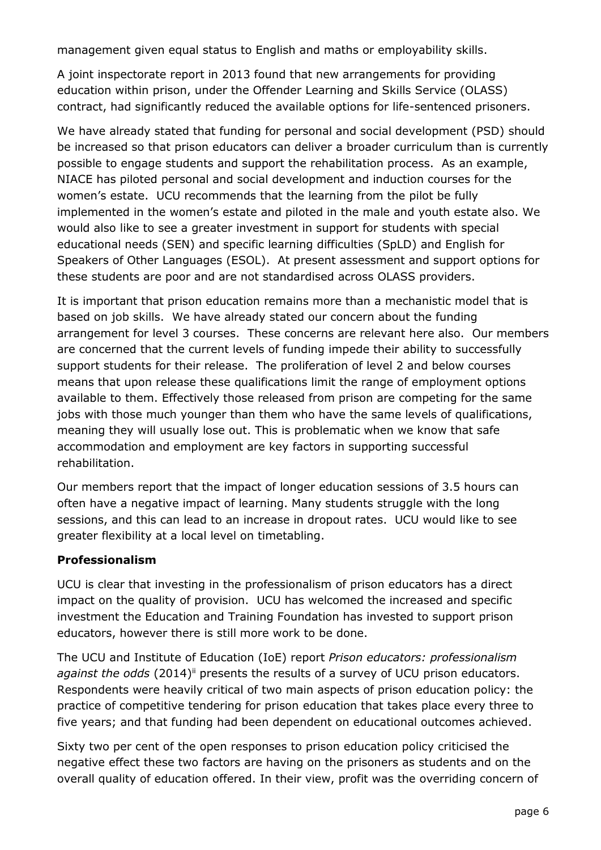management given equal status to English and maths or employability skills.

A joint inspectorate report in 2013 found that new arrangements for providing education within prison, under the Offender Learning and Skills Service (OLASS) contract, had significantly reduced the available options for life-sentenced prisoners.

We have already stated that funding for personal and social development (PSD) should be increased so that prison educators can deliver a broader curriculum than is currently possible to engage students and support the rehabilitation process. As an example, NIACE has piloted personal and social development and induction courses for the women's estate. UCU recommends that the learning from the pilot be fully implemented in the women's estate and piloted in the male and youth estate also. We would also like to see a greater investment in support for students with special educational needs (SEN) and specific learning difficulties (SpLD) and English for Speakers of Other Languages (ESOL). At present assessment and support options for these students are poor and are not standardised across OLASS providers.

It is important that prison education remains more than a mechanistic model that is based on job skills. We have already stated our concern about the funding arrangement for level 3 courses. These concerns are relevant here also. Our members are concerned that the current levels of funding impede their ability to successfully support students for their release. The proliferation of level 2 and below courses means that upon release these qualifications limit the range of employment options available to them. Effectively those released from prison are competing for the same jobs with those much younger than them who have the same levels of qualifications, meaning they will usually lose out. This is problematic when we know that safe accommodation and employment are key factors in supporting successful rehabilitation.

Our members report that the impact of longer education sessions of 3.5 hours can often have a negative impact of learning. Many students struggle with the long sessions, and this can lead to an increase in dropout rates. UCU would like to see greater flexibility at a local level on timetabling.

#### **Professionalism**

UCU is clear that investing in the professionalism of prison educators has a direct impact on the quality of provision. UCU has welcomed the increased and specific investment the Education and Training Foundation has invested to support prison educators, however there is still more work to be done.

The UCU and Institute of Education (IoE) report *Prison educators: professionalism*  against the odds (2014)<sup>ii</sup> presents the results of a survey of UCU prison educators. Respondents were heavily critical of two main aspects of prison education policy: the practice of competitive tendering for prison education that takes place every three to five years; and that funding had been dependent on educational outcomes achieved.

Sixty two per cent of the open responses to prison education policy criticised the negative effect these two factors are having on the prisoners as students and on the overall quality of education offered. In their view, profit was the overriding concern of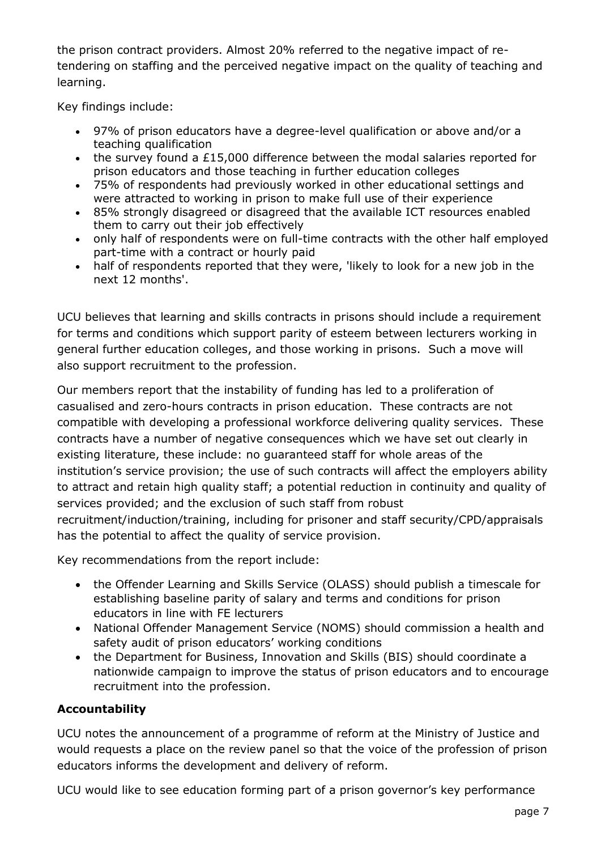the prison contract providers. Almost 20% referred to the negative impact of retendering on staffing and the perceived negative impact on the quality of teaching and learning.

Key findings include:

- 97% of prison educators have a degree-level qualification or above and/or a teaching qualification
- the survey found a £15,000 difference between the modal salaries reported for prison educators and those teaching in further education colleges
- 75% of respondents had previously worked in other educational settings and were attracted to working in prison to make full use of their experience
- 85% strongly disagreed or disagreed that the available ICT resources enabled them to carry out their job effectively
- only half of respondents were on full-time contracts with the other half employed part-time with a contract or hourly paid
- half of respondents reported that they were, 'likely to look for a new job in the next 12 months'.

UCU believes that learning and skills contracts in prisons should include a requirement for terms and conditions which support parity of esteem between lecturers working in general further education colleges, and those working in prisons. Such a move will also support recruitment to the profession.

Our members report that the instability of funding has led to a proliferation of casualised and zero-hours contracts in prison education. These contracts are not compatible with developing a professional workforce delivering quality services. These contracts have a number of negative consequences which we have set out clearly in existing literature, these include: no guaranteed staff for whole areas of the institution's service provision; the use of such contracts will affect the employers ability to attract and retain high quality staff; a potential reduction in continuity and quality of services provided; and the exclusion of such staff from robust recruitment/induction/training, including for prisoner and staff security/CPD/appraisals has the potential to affect the quality of service provision.

Key recommendations from the report include:

- the Offender Learning and Skills Service (OLASS) should publish a timescale for establishing baseline parity of salary and terms and conditions for prison educators in line with FE lecturers
- National Offender Management Service (NOMS) should commission a health and safety audit of prison educators' working conditions
- the Department for Business, Innovation and Skills (BIS) should coordinate a nationwide campaign to improve the status of prison educators and to encourage recruitment into the profession.

### **Accountability**

UCU notes the announcement of a programme of reform at the Ministry of Justice and would requests a place on the review panel so that the voice of the profession of prison educators informs the development and delivery of reform.

UCU would like to see education forming part of a prison governor's key performance